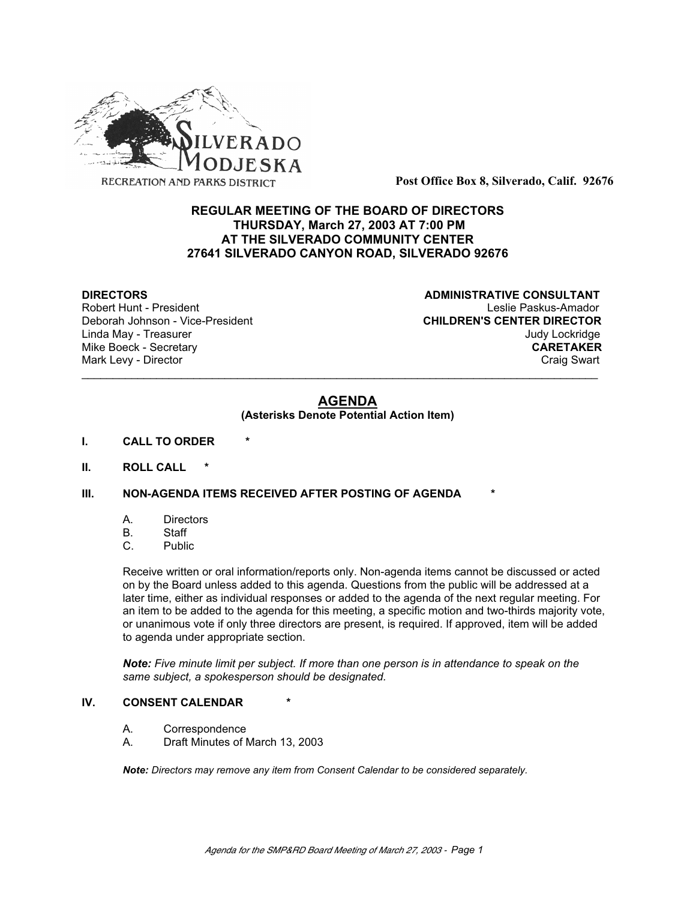

**Post Office Box 8, Silverado, Calif. 92676**

# **REGULAR MEETING OF THE BOARD OF DIRECTORS THURSDAY, March 27, 2003 AT 7:00 PM AT THE SILVERADO COMMUNITY CENTER 27641 SILVERADO CANYON ROAD, SILVERADO 92676**

Deborah Johnson - Vice-President

**DIRECTORS CONSULTANT** Robert Hunt - President<br>
Deborah Johnson - Vice-President 
Leslie Paskus-Amador<br>
CHILDREN'S CENTER DIRECTOR Linda May - Treasurer Judy Lockridge Mike Boeck - Secretary **CARETAKER** Mark Levy - Director **Craig Swart** Craig Swart Craig Swart Craig Swart

# **AGENDA**

\_\_\_\_\_\_\_\_\_\_\_\_\_\_\_\_\_\_\_\_\_\_\_\_\_\_\_\_\_\_\_\_\_\_\_\_\_\_\_\_\_\_\_\_\_\_\_\_\_\_\_\_\_\_\_\_\_\_\_\_\_\_\_\_\_\_\_\_\_\_\_\_\_\_\_\_\_\_\_\_\_\_\_

#### **(Asterisks Denote Potential Action Item)**

- **I. CALL TO ORDER \***
- **II. ROLL CALL \***

## **III. NON-AGENDA ITEMS RECEIVED AFTER POSTING OF AGENDA**

- A. Directors
- B. Staff
- C. Public

Receive written or oral information/reports only. Non-agenda items cannot be discussed or acted on by the Board unless added to this agenda. Questions from the public will be addressed at a later time, either as individual responses or added to the agenda of the next regular meeting. For an item to be added to the agenda for this meeting, a specific motion and two-thirds majority vote, or unanimous vote if only three directors are present, is required. If approved, item will be added to agenda under appropriate section.

*Note: Five minute limit per subject. If more than one person is in attendance to speak on the same subject, a spokesperson should be designated.*

#### **IV. CONSENT CALENDAR**

- A. Correspondence
- A. Draft Minutes of March 13, 2003

*Note: Directors may remove any item from Consent Calendar to be considered separately.*